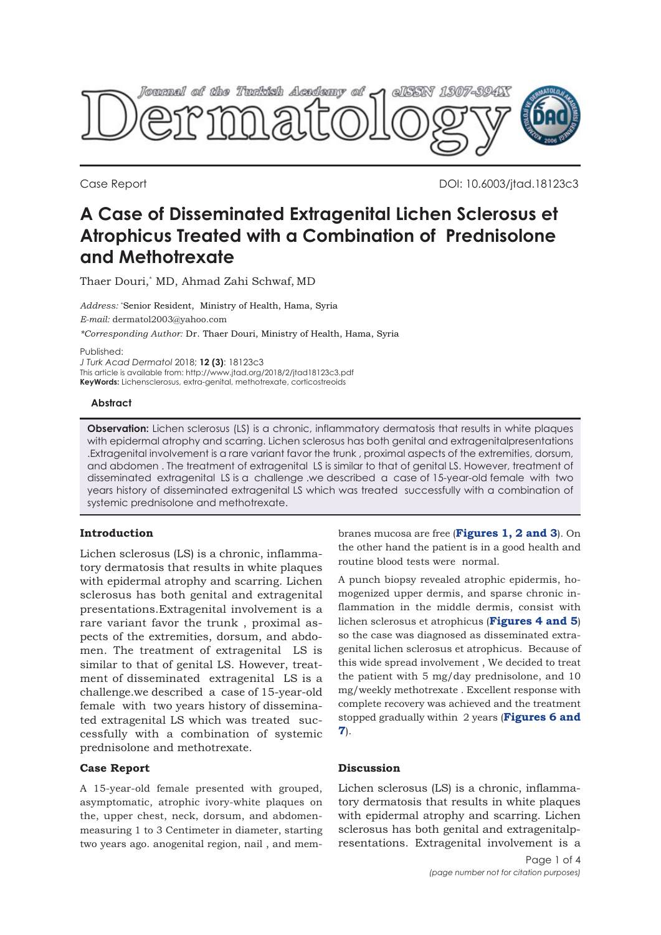

Case Report DOI: 10.6003/jtad.18123c3

# **A Case of Disseminated Extragenital Lichen Sclerosus et Atrophicus Treated with a Combination of Prednisolone and Methotrexate**

Thaer Douri,\* MD, Ahmad Zahi Schwaf, MD

*Address:* \* Senior Resident, Ministry of Health, Hama, Syria *E-mail:* dermatol2003@yahoo.com *\*Corresponding Author:* Dr. Thaer Douri, Ministry of Health, Hama, Syria

Published:

*J Turk Acad Dermatol* 2018; **12 (3)**: 18123c3

This article is available from: http://www.jtad.org/2018/2/jtad18123c3.pdf **KeyWords:** Lichensclerosus, extra-genital, methotrexate, corticostreoids

**Abstract**

**Observation:** Lichen sclerosus (LS) is a chronic, inflammatory dermatosis that results in white plaques with epidermal atrophy and scarring. Lichen sclerosus has both genital and extragenitalpresentations .Extragenital involvement is a rare variant favor the trunk , proximal aspects of the extremities, dorsum, and abdomen . The treatment of extragenital LS is similar to that of genital LS. However, treatment of disseminated extragenital LS is a challenge .we described a case of 15-year-old female with two years history of disseminated extragenital LS which was treated successfully with a combination of systemic prednisolone and methotrexate.

## **Introduction**

Lichen sclerosus (LS) is a chronic, inflammatory dermatosis that results in white plaques with epidermal atrophy and scarring. Lichen sclerosus has both genital and extragenital presentations.Extragenital involvement is a rare variant favor the trunk , proximal aspects of the extremities, dorsum, and abdomen. The treatment of extragenital LS is similar to that of genital LS. However, treatment of disseminated extragenital LS is a challenge.we described a case of 15-year-old female with two years history of disseminated extragenital LS which was treated successfully with a combination of systemic prednisolone and methotrexate.

## **Case Report**

A 15-year-old female presented with grouped, asymptomatic, atrophic ivory-white plaques on the, upper chest, neck, dorsum, and abdomenmeasuring 1 to 3 Centimeter in diameter, starting two years ago. anogenital region, nail , and membranes mucosa are free (**[Figures 1, 2 and 3](#page-1-0)**). On the other hand the patient is in a good health and routine blood tests were normal.

A punch biopsy revealed atrophic epidermis, homogenized upper dermis, and sparse chronic inflammation in the middle dermis, consist with lichen sclerosus et atrophicus (**[Figures 4](#page-1-0) [and 5](#page-2-0)**) so the case was diagnosed as disseminated extragenital lichen sclerosus et atrophicus. Because of this wide spread involvement , We decided to treat the patient with 5 mg/day prednisolone, and 10 mg/weekly methotrexate . Excellent response with complete recovery was achieved and the treatment [stopped gradually within 2 years \(](#page-2-0)**[Figures 6](#page-2-0) and 7**).

## **Discussion**

Lichen sclerosus (LS) is a chronic, inflammatory dermatosis that results in white plaques with epidermal atrophy and scarring. Lichen sclerosus has both genital and extragenitalpresentations. Extragenital involvement is a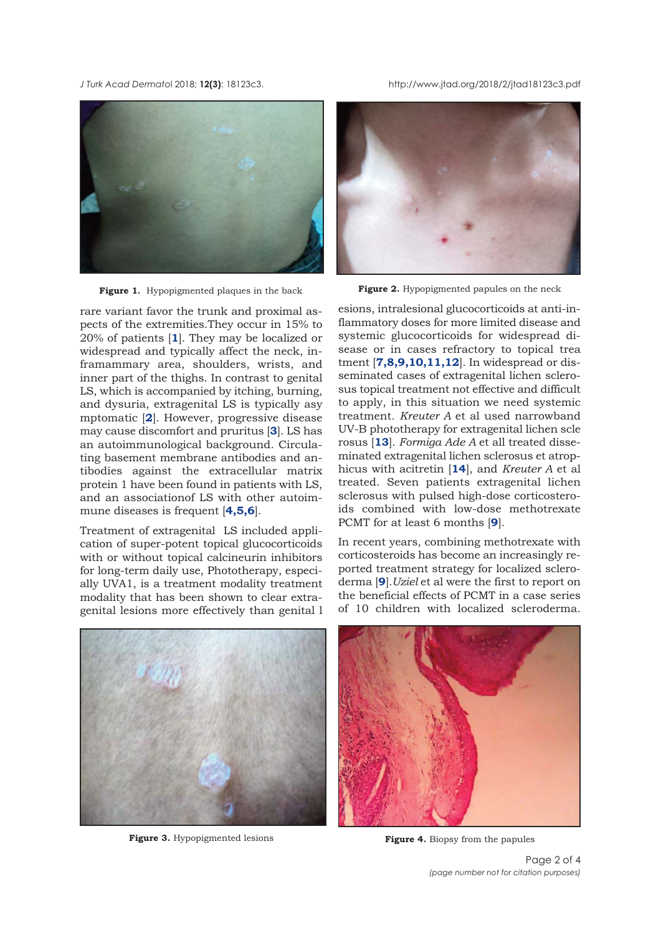<span id="page-1-0"></span>*J Turk Acad Dermato*l 2018; **12(3)**: 18123c3. http://www.jtad.org/2018/2/jtad18123c3.pdf



**Figure 1.** Hypopigmented plaques in the back

rare variant favor the trunk and proximal aspects of the extremities.They occur in 15% to 20% of patients [**[1](#page-3-0)**]. They may be localized or widespread and typically affect the neck, inframammary area, shoulders, wrists, and inner part of the thighs. In contrast to genital LS, which is accompanied by itching, burning, and dysuria, extragenital LS is typically asy mptomatic [**[2](#page-2-0)**]. However, progressive disease may cause discomfort and pruritus [**[3](#page-3-0)**]. LS has an autoimmunological background. Circulating basement membrane antibodies and antibodies against the extracellular matrix protein 1 have been found in patients with LS, and an associationof LS with other autoimmune diseases is frequent [**[4,5,6](#page-3-0)**].

Treatment of extragenital LS included application of super-potent topical glucocorticoids with or without topical calcineurin inhibitors for long-term daily use, Phototherapy, especially UVA1, is a treatment modality treatment modality that has been shown to clear extragenital lesions more effectively than genital l



Figure 2. Hypopigmented papules on the neck

esions, intralesional glucocorticoids at anti-inflammatory doses for more limited disease and systemic glucocorticoids for widespread disease or in cases refractory to topical trea tment [**[7,8,9,10,11,12](#page-3-0)**]. In widespread or disseminated cases of extragenital lichen sclerosus topical treatment not effective and difficult to apply, in this situation we need systemic treatment. *Kreuter A* et al used narrowband UV-B phototherapy for extragenital lichen scle rosus [**[13](#page-3-0)**]. *Formiga Ade A* et all treated disseminated extragenital lichen sclerosus et atrophicus with acitretin [**[14](#page-3-0)**], and *Kreuter A* et al treated. Seven patients extragenital lichen sclerosus with pulsed high-dose corticosteroids combined with low-dose methotrexate PCMT for at least 6 months [**[9](#page-3-0)**].

In recent years, combining methotrexate with corticosteroids has become an increasingly reported treatment strategy for localized scleroderma [**[9](#page-3-0)**].*Uziel* et al were the first to report on the beneficial effects of PCMT in a case series of 10 children with localized scleroderma.



**Figure 3.** Hypopigmented lesions



**Figure 4.** Biopsy from the papules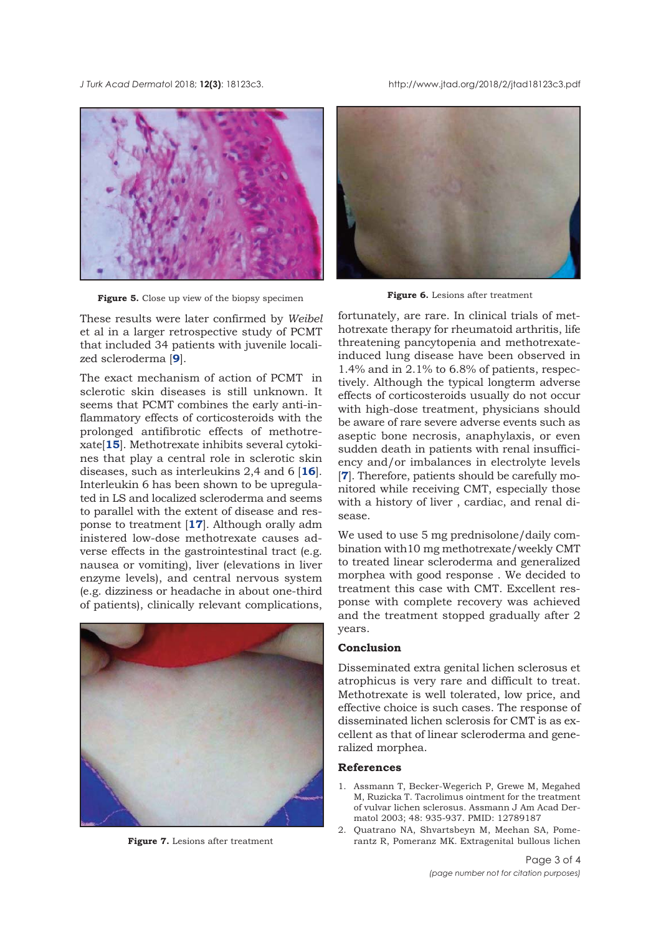<span id="page-2-0"></span>*J Turk Acad Dermato*l 2018; **12(3)**: 18123c3. http://www.jtad.org/2018/2/jtad18123c3.pdf



**Figure 5.** Close up view of the biopsy specimen **Figure 6.** Lesions after treatment

These results were later confirmed by *Weibel* et al in a larger retrospective study of PCMT that included 34 patients with juvenile localized scleroderma [**[9](#page-3-0)**].

The exact mechanism of action of PCMT in sclerotic skin diseases is still unknown. It seems that PCMT combines the early anti-inflammatory effects of corticosteroids with the prolonged antifibrotic effects of methotrexate[**[15](#page-3-0)**]. Methotrexate inhibits several cytokines that play a central role in sclerotic skin diseases, such as interleukins 2,4 and 6 [**[16](#page-3-0)**]. Interleukin 6 has been shown to be upregulated in LS and localized scleroderma and seems to parallel with the extent of disease and response to treatment [**[17](#page-3-0)**]. Although orally adm inistered low-dose methotrexate causes adverse effects in the gastrointestinal tract (e.g. nausea or vomiting), liver (elevations in liver enzyme levels), and central nervous system (e.g. dizziness or headache in about one-third of patients), clinically relevant complications,



**Figure 7.** Lesions after treatment



fortunately, are rare. In clinical trials of methotrexate therapy for rheumatoid arthritis, life threatening pancytopenia and methotrexateinduced lung disease have been observed in 1.4% and in 2.1% to 6.8% of patients, respectively. Although the typical longterm adverse effects of corticosteroids usually do not occur with high-dose treatment, physicians should be aware of rare severe adverse events such as aseptic bone necrosis, anaphylaxis, or even sudden death in patients with renal insufficiency and/or imbalances in electrolyte levels [**[7](#page-3-0)**]. Therefore, patients should be carefully monitored while receiving CMT, especially those with a history of liver , cardiac, and renal disease.

We used to use 5 mg prednisolone/daily combination with10 mg methotrexate/weekly CMT to treated linear scleroderma and generalized morphea with good response . We decided to treatment this case with CMT. Excellent response with complete recovery was achieved and the treatment stopped gradually after 2 years.

#### **Conclusion**

Disseminated extra genital lichen sclerosus et atrophicus is very rare and difficult to treat. Methotrexate is well tolerated, low price, and effective choice is such cases. The response of disseminated lichen sclerosis for CMT is as excellent as that of linear scleroderma and generalized morphea.

#### **References**

- 1. Assmann T, Becker-Wegerich P, Grewe M, Megahed M, Ruzicka T. Tacrolimus ointment for the treatment of vulvar lichen sclerosus. Assmann J Am Acad Dermatol 2003; 48: 935-937. PMID: 12789187
- 2. Quatrano NA, Shvartsbeyn M, Meehan SA, Pomerantz R, Pomeranz MK. Extragenital bullous lichen